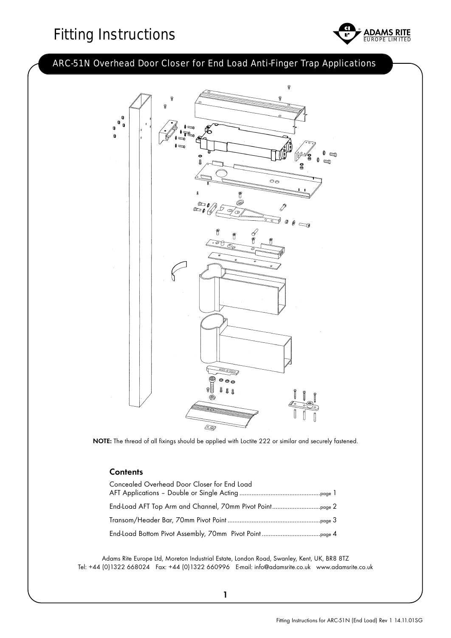# Fitting Instructions The Separate Report LIMITED



### ARC-51N Overhead Door Closer for End Load Anti-Finger Trap Applications



NOTE: The thread of all fixings should be applied with Loctite 222 or similar and securely fastened.

#### **Contents**

| Concealed Overhead Door Closer for End Load              |
|----------------------------------------------------------|
| End-Load AFT Top Arm and Channel, 70mm Pivot Pointpage 2 |
|                                                          |
|                                                          |

Adams Rite Europe Ltd, Moreton Industrial Estate, London Road, Swanley, Kent, UK, BR8 8TZ Tel: +44 (0)1322 668024 Fax: +44 (0)1322 660996 E-mail: info@adamsrite.co.uk www.adamsrite.co.uk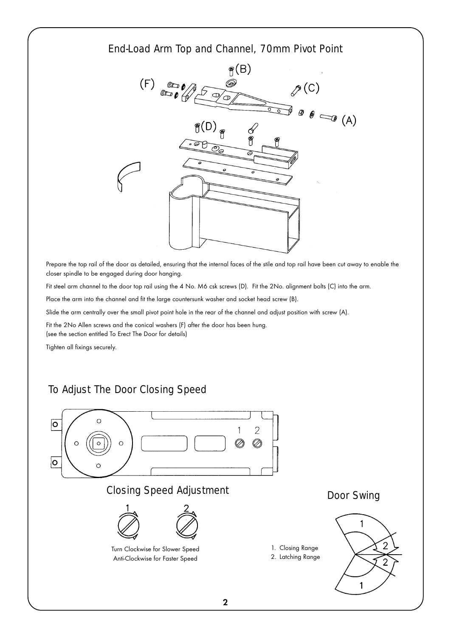#### End-Load Arm Top and Channel, 70mm Pivot Point



Prepare the top rail of the door as detailed, ensuring that the internal faces of the stile and top rail have been cut away to enable the closer spindle to be engaged during door hanging.

Fit steel arm channel to the door top rail using the 4 No. M6 csk screws (D). Fit the 2No. alignment bolts (C) into the arm.

Place the arm into the channel and fit the large countersunk washer and socket head screw (B).

Slide the arm centrally over the small pivot point hole in the rear of the channel and adjust position with screw (A).

Fit the 2No Allen screws and the conical washers (F) after the door has been hung. (see the section entitled To Erect The Door for details)

Tighten all fixings securely.

## To Adjust The Door Closing Speed

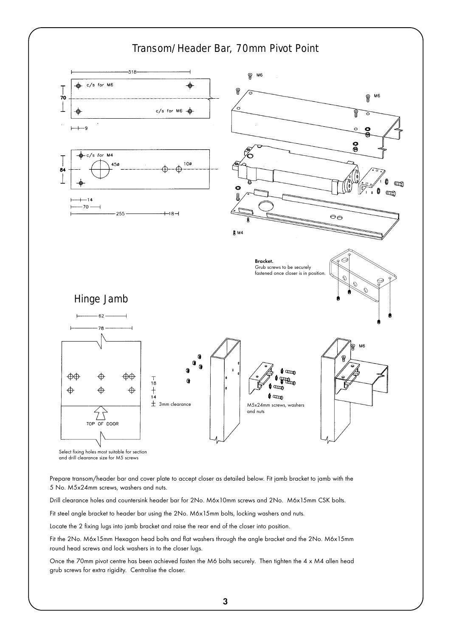

Prepare transom/header bar and cover plate to accept closer as detailed below. Fit jamb bracket to jamb with the 5 No. M5x24mm screws, washers and nuts.

Drill clearance holes and countersink header bar for 2No. M6x10mm screws and 2No. M6x15mm CSK bolts.

Fit steel angle bracket to header bar using the 2No. M6x15mm bolts, locking washers and nuts.

Locate the 2 fixing lugs into jamb bracket and raise the rear end of the closer into position.

Fit the 2No. M6x15mm Hexagon head bolts and flat washers through the angle bracket and the 2No. M6x15mm round head screws and lock washers in to the closer lugs.

Once the 70mm pivot centre has been achieved fasten the M6 bolts securely. Then tighten the 4 x M4 allen head grub screws for extra rigidity. Centralise the closer.